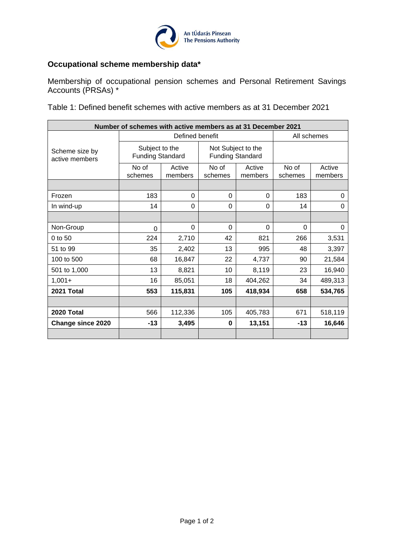

## **Occupational scheme membership data\***

Membership of occupational pension schemes and Personal Retirement Savings Accounts (PRSAs) \*

Table 1: Defined benefit schemes with active members as at 31 December 2021

| Number of schemes with active members as at 31 December 2021 |                                           |                   |                                               |                   |                  |                   |  |
|--------------------------------------------------------------|-------------------------------------------|-------------------|-----------------------------------------------|-------------------|------------------|-------------------|--|
|                                                              | Defined benefit                           |                   |                                               |                   | All schemes      |                   |  |
| Scheme size by<br>active members                             | Subject to the<br><b>Funding Standard</b> |                   | Not Subject to the<br><b>Funding Standard</b> |                   |                  |                   |  |
|                                                              | No of<br>schemes                          | Active<br>members | No of<br>schemes                              | Active<br>members | No of<br>schemes | Active<br>members |  |
|                                                              |                                           |                   |                                               |                   |                  |                   |  |
| Frozen                                                       | 183                                       | 0                 | 0                                             | 0                 | 183              | 0                 |  |
| In wind-up                                                   | 14                                        | 0                 | 0                                             | 0                 | 14               | 0                 |  |
|                                                              |                                           |                   |                                               |                   |                  |                   |  |
| Non-Group                                                    | $\Omega$                                  | $\Omega$          | 0                                             | $\Omega$          | $\Omega$         | 0                 |  |
| $0$ to 50                                                    | 224                                       | 2,710             | 42                                            | 821               | 266              | 3,531             |  |
| 51 to 99                                                     | 35                                        | 2,402             | 13                                            | 995               | 48               | 3,397             |  |
| 100 to 500                                                   | 68                                        | 16,847            | 22                                            | 4,737             | 90               | 21,584            |  |
| 501 to 1,000                                                 | 13                                        | 8,821             | 10                                            | 8,119             | 23               | 16,940            |  |
| $1,001+$                                                     | 16                                        | 85,051            | 18                                            | 404,262           | 34               | 489,313           |  |
| 2021 Total                                                   | 553                                       | 115,831           | 105                                           | 418,934           | 658              | 534,765           |  |
|                                                              |                                           |                   |                                               |                   |                  |                   |  |
| 2020 Total                                                   | 566                                       | 112,336           | 105                                           | 405,783           | 671              | 518,119           |  |
| <b>Change since 2020</b>                                     | $-13$                                     | 3,495             | $\bf{0}$                                      | 13,151            | $-13$            | 16,646            |  |
|                                                              |                                           |                   |                                               |                   |                  |                   |  |